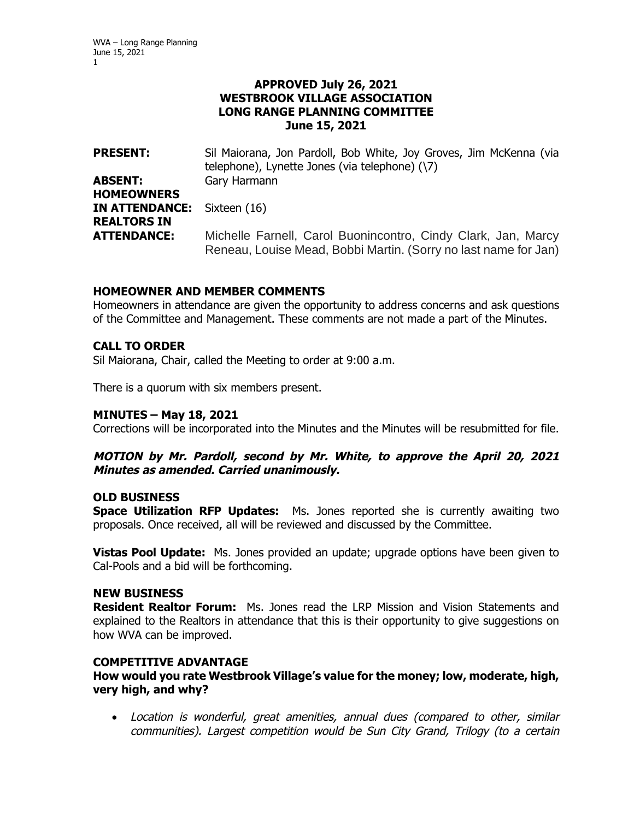### **APPROVED July 26, 2021 WESTBROOK VILLAGE ASSOCIATION LONG RANGE PLANNING COMMITTEE June 15, 2021**

**PRESENT:** Sil Maiorana, Jon Pardoll, Bob White, Joy Groves, Jim McKenna (via telephone), Lynette Jones (via telephone) (\7) **ABSENT:** Gary Harmann **HOMEOWNERS IN ATTENDANCE:** Sixteen (16) **REALTORS IN ATTENDANCE:** Michelle Farnell, Carol Buonincontro, Cindy Clark, Jan, Marcy Reneau, Louise Mead, Bobbi Martin. (Sorry no last name for Jan)

### **HOMEOWNER AND MEMBER COMMENTS**

Homeowners in attendance are given the opportunity to address concerns and ask questions of the Committee and Management. These comments are not made a part of the Minutes.

# **CALL TO ORDER**

Sil Maiorana, Chair, called the Meeting to order at 9:00 a.m.

There is a quorum with six members present.

### **MINUTES – May 18, 2021**

Corrections will be incorporated into the Minutes and the Minutes will be resubmitted for file.

### **MOTION by Mr. Pardoll, second by Mr. White, to approve the April 20, 2021 Minutes as amended. Carried unanimously.**

### **OLD BUSINESS**

**Space Utilization RFP Updates:** Ms. Jones reported she is currently awaiting two proposals. Once received, all will be reviewed and discussed by the Committee.

**Vistas Pool Update:** Ms. Jones provided an update; upgrade options have been given to Cal-Pools and a bid will be forthcoming.

#### **NEW BUSINESS**

**Resident Realtor Forum:** Ms. Jones read the LRP Mission and Vision Statements and explained to the Realtors in attendance that this is their opportunity to give suggestions on how WVA can be improved.

#### **COMPETITIVE ADVANTAGE**

**How would you rate Westbrook Village's value for the money; low, moderate, high, very high, and why?** 

 Location is wonderful, great amenities, annual dues (compared to other, similar communities). Largest competition would be Sun City Grand, Trilogy (to a certain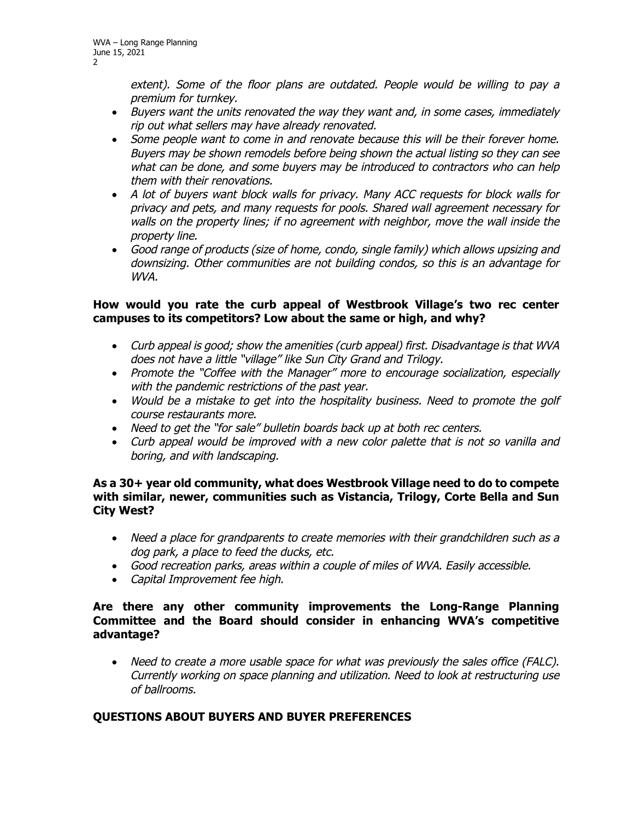extent). Some of the floor plans are outdated. People would be willing to pay a premium for turnkey.

- Buyers want the units renovated the way they want and, in some cases, immediately rip out what sellers may have already renovated.
- Some people want to come in and renovate because this will be their forever home. Buyers may be shown remodels before being shown the actual listing so they can see what can be done, and some buyers may be introduced to contractors who can help them with their renovations.
- A lot of buyers want block walls for privacy. Many ACC requests for block walls for privacy and pets, and many requests for pools. Shared wall agreement necessary for walls on the property lines; if no agreement with neighbor, move the wall inside the property line.
- Good range of products (size of home, condo, single family) which allows upsizing and downsizing. Other communities are not building condos, so this is an advantage for WVA.

### **How would you rate the curb appeal of Westbrook Village's two rec center campuses to its competitors? Low about the same or high, and why?**

- Curb appeal is good; show the amenities (curb appeal) first. Disadvantage is that WVA does not have a little "village" like Sun City Grand and Trilogy.
- Promote the "Coffee with the Manager" more to encourage socialization, especially with the pandemic restrictions of the past year.
- Would be a mistake to get into the hospitality business. Need to promote the golf course restaurants more.
- Need to get the "for sale" bulletin boards back up at both rec centers.
- Curb appeal would be improved with a new color palette that is not so vanilla and boring, and with landscaping.

### **As a 30+ year old community, what does Westbrook Village need to do to compete with similar, newer, communities such as Vistancia, Trilogy, Corte Bella and Sun City West?**

- Need a place for grandparents to create memories with their grandchildren such as a dog park, a place to feed the ducks, etc.
- Good recreation parks, areas within a couple of miles of WVA. Easily accessible.
- Capital Improvement fee high.

### **Are there any other community improvements the Long-Range Planning Committee and the Board should consider in enhancing WVA's competitive advantage?**

 Need to create a more usable space for what was previously the sales office (FALC). Currently working on space planning and utilization. Need to look at restructuring use of ballrooms.

# **QUESTIONS ABOUT BUYERS AND BUYER PREFERENCES**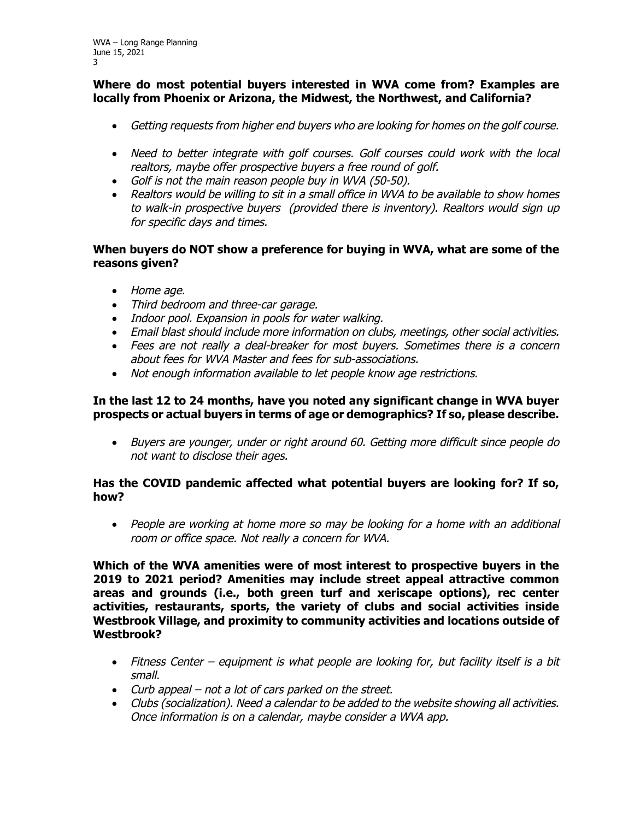# **Where do most potential buyers interested in WVA come from? Examples are locally from Phoenix or Arizona, the Midwest, the Northwest, and California?**

- Getting requests from higher end buyers who are looking for homes on the golf course.
- Need to better integrate with golf courses. Golf courses could work with the local realtors, maybe offer prospective buyers a free round of golf.
- Golf is not the main reason people buy in WVA (50-50).
- Realtors would be willing to sit in a small office in WVA to be available to show homes to walk-in prospective buyers (provided there is inventory). Realtors would sign up for specific days and times.

# **When buyers do NOT show a preference for buying in WVA, what are some of the reasons given?**

- Home age.
- Third bedroom and three-car garage.
- Indoor pool. Expansion in pools for water walking.
- Email blast should include more information on clubs, meetings, other social activities.
- Fees are not really a deal-breaker for most buyers. Sometimes there is a concern about fees for WVA Master and fees for sub-associations.
- Not enough information available to let people know age restrictions.

# **In the last 12 to 24 months, have you noted any significant change in WVA buyer prospects or actual buyers in terms of age or demographics? If so, please describe.**

 Buyers are younger, under or right around 60. Getting more difficult since people do not want to disclose their ages.

# **Has the COVID pandemic affected what potential buyers are looking for? If so, how?**

• People are working at home more so may be looking for a home with an additional room or office space. Not really a concern for WVA.

**Which of the WVA amenities were of most interest to prospective buyers in the 2019 to 2021 period? Amenities may include street appeal attractive common areas and grounds (i.e., both green turf and xeriscape options), rec center activities, restaurants, sports, the variety of clubs and social activities inside Westbrook Village, and proximity to community activities and locations outside of Westbrook?** 

- Fitness Center equipment is what people are looking for, but facility itself is a bit small.
- Curb appeal not a lot of cars parked on the street.
- Clubs (socialization). Need a calendar to be added to the website showing all activities. Once information is on a calendar, maybe consider a WVA app.